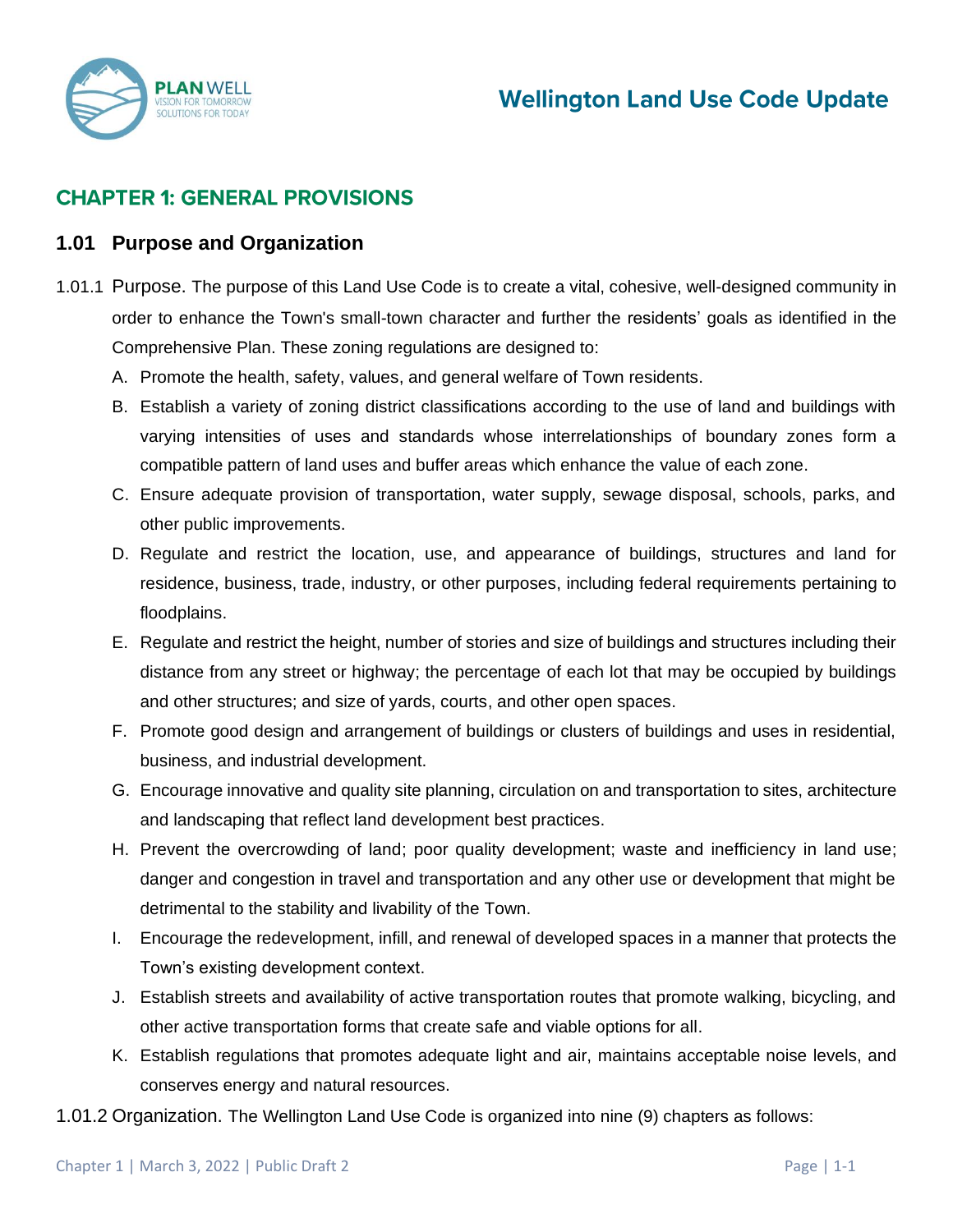

## **CHAPTER 1: GENERAL PROVISIONS**

#### **1.01 Purpose and Organization**

- 1.01.1 Purpose. The purpose of this Land Use Code is to create a vital, cohesive, well-designed community in order to enhance the Town's small-town character and further the residents' goals as identified in the Comprehensive Plan. These zoning regulations are designed to:
	- A. Promote the health, safety, values, and general welfare of Town residents.
	- B. Establish a variety of zoning district classifications according to the use of land and buildings with varying intensities of uses and standards whose interrelationships of boundary zones form a compatible pattern of land uses and buffer areas which enhance the value of each zone.
	- C. Ensure adequate provision of transportation, water supply, sewage disposal, schools, parks, and other public improvements.
	- D. Regulate and restrict the location, use, and appearance of buildings, structures and land for residence, business, trade, industry, or other purposes, including federal requirements pertaining to floodplains.
	- E. Regulate and restrict the height, number of stories and size of buildings and structures including their distance from any street or highway; the percentage of each lot that may be occupied by buildings and other structures; and size of yards, courts, and other open spaces.
	- F. Promote good design and arrangement of buildings or clusters of buildings and uses in residential, business, and industrial development.
	- G. Encourage innovative and quality site planning, circulation on and transportation to sites, architecture and landscaping that reflect land development best practices.
	- H. Prevent the overcrowding of land; poor quality development; waste and inefficiency in land use; danger and congestion in travel and transportation and any other use or development that might be detrimental to the stability and livability of the Town.
	- I. Encourage the redevelopment, infill, and renewal of developed spaces in a manner that protects the Town's existing development context.
	- J. Establish streets and availability of active transportation routes that promote walking, bicycling, and other active transportation forms that create safe and viable options for all.
	- K. Establish regulations that promotes adequate light and air, maintains acceptable noise levels, and conserves energy and natural resources.
- 1.01.2 Organization. The Wellington Land Use Code is organized into nine (9) chapters as follows: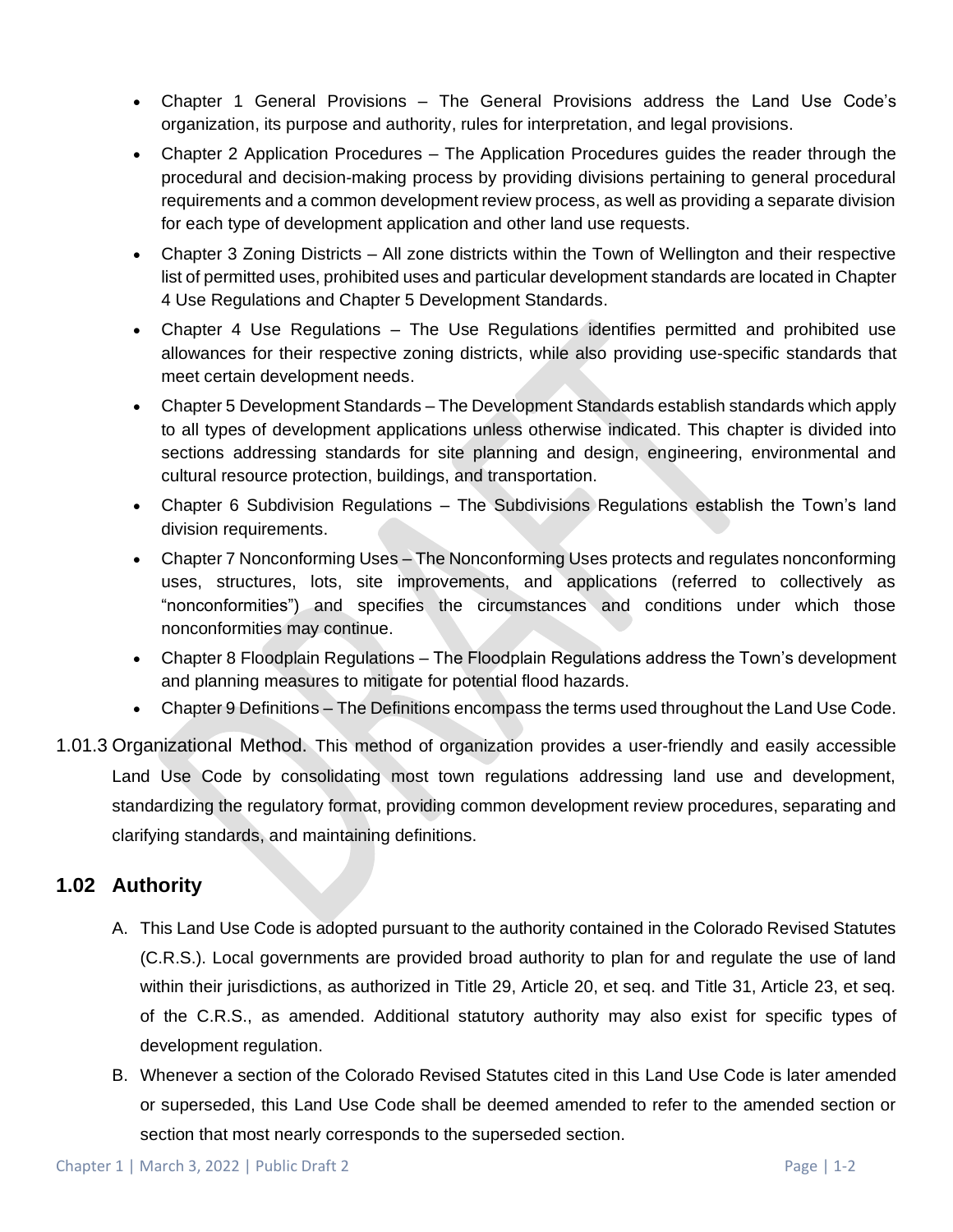- Chapter 1 General Provisions The General Provisions address the Land Use Code's organization, its purpose and authority, rules for interpretation, and legal provisions.
- Chapter 2 Application Procedures The Application Procedures guides the reader through the procedural and decision-making process by providing divisions pertaining to general procedural requirements and a common development review process, as well as providing a separate division for each type of development application and other land use requests.
- Chapter 3 Zoning Districts All zone districts within the Town of Wellington and their respective list of permitted uses, prohibited uses and particular development standards are located in Chapter 4 Use Regulations and Chapter 5 Development Standards.
- Chapter 4 Use Regulations The Use Regulations identifies permitted and prohibited use allowances for their respective zoning districts, while also providing use-specific standards that meet certain development needs.
- Chapter 5 Development Standards The Development Standards establish standards which apply to all types of development applications unless otherwise indicated. This chapter is divided into sections addressing standards for site planning and design, engineering, environmental and cultural resource protection, buildings, and transportation.
- Chapter 6 Subdivision Regulations The Subdivisions Regulations establish the Town's land division requirements.
- Chapter 7 Nonconforming Uses The Nonconforming Uses protects and regulates nonconforming uses, structures, lots, site improvements, and applications (referred to collectively as "nonconformities") and specifies the circumstances and conditions under which those nonconformities may continue.
- Chapter 8 Floodplain Regulations The Floodplain Regulations address the Town's development and planning measures to mitigate for potential flood hazards.
- Chapter 9 Definitions The Definitions encompass the terms used throughout the Land Use Code.
- 1.01.3 Organizational Method. This method of organization provides a user-friendly and easily accessible Land Use Code by consolidating most town regulations addressing land use and development, standardizing the regulatory format, providing common development review procedures, separating and clarifying standards, and maintaining definitions.

## **1.02 Authority**

- A. This Land Use Code is adopted pursuant to the authority contained in the Colorado Revised Statutes (C.R.S.). Local governments are provided broad authority to plan for and regulate the use of land within their jurisdictions, as authorized in Title 29, Article 20, et seq. and Title 31, Article 23, et seq. of the C.R.S., as amended. Additional statutory authority may also exist for specific types of development regulation.
- B. Whenever a section of the Colorado Revised Statutes cited in this Land Use Code is later amended or superseded, this Land Use Code shall be deemed amended to refer to the amended section or section that most nearly corresponds to the superseded section.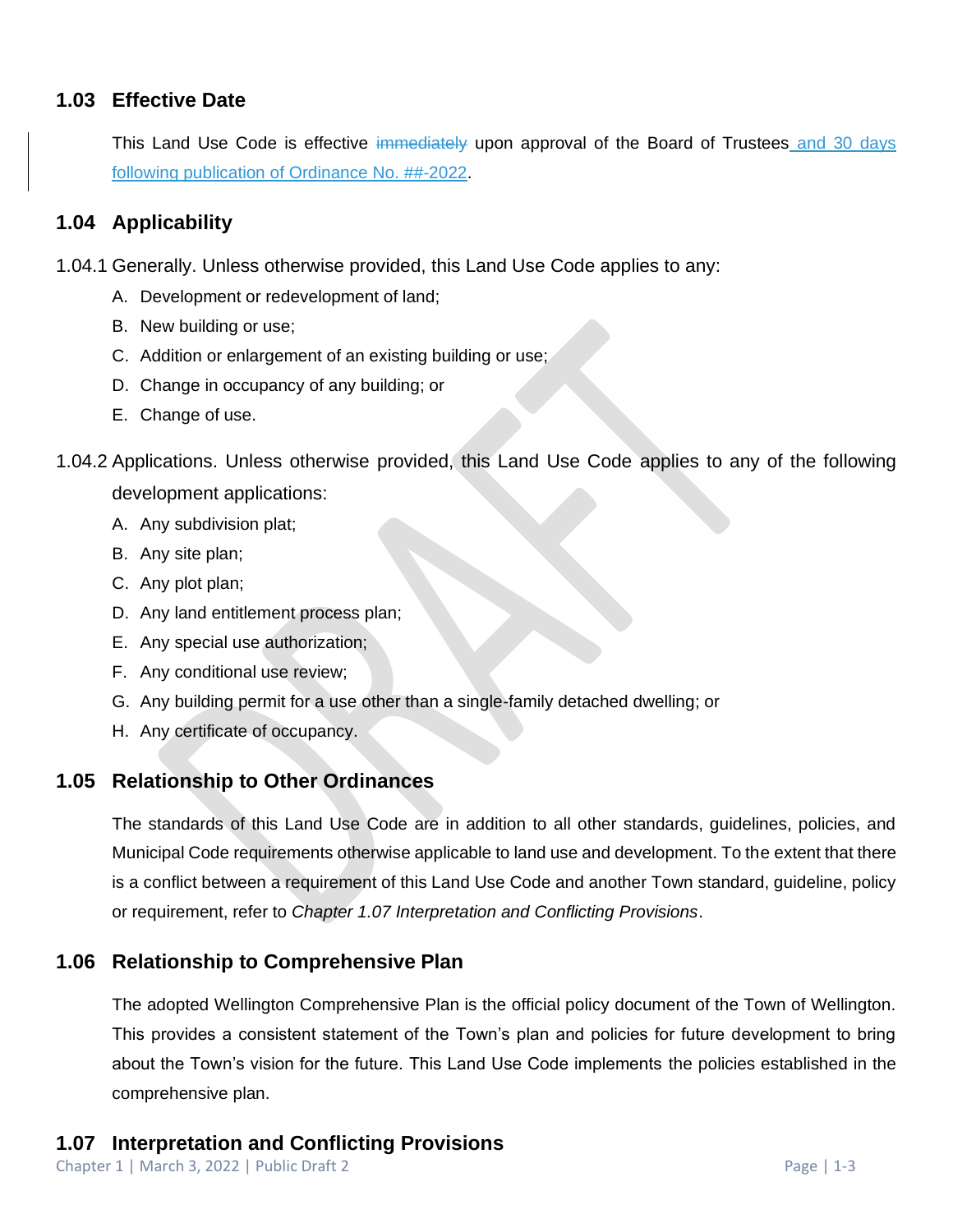### **1.03 Effective Date**

This Land Use Code is effective immediately upon approval of the Board of Trustees and 30 days following publication of Ordinance No. ##-2022.

### **1.04 Applicability**

1.04.1 Generally. Unless otherwise provided, this Land Use Code applies to any:

- A. Development or redevelopment of land;
- B. New building or use;
- C. Addition or enlargement of an existing building or use;
- D. Change in occupancy of any building; or
- E. Change of use.
- 1.04.2 Applications. Unless otherwise provided, this Land Use Code applies to any of the following development applications:
	- A. Any subdivision plat;
	- B. Any site plan;
	- C. Any plot plan;
	- D. Any land entitlement process plan;
	- E. Any special use authorization;
	- F. Any conditional use review;
	- G. Any building permit for a use other than a single-family detached dwelling; or
	- H. Any certificate of occupancy.

#### **1.05 Relationship to Other Ordinances**

The standards of this Land Use Code are in addition to all other standards, guidelines, policies, and Municipal Code requirements otherwise applicable to land use and development. To the extent that there is a conflict between a requirement of this Land Use Code and another Town standard, guideline, policy or requirement, refer to *Chapter 1.07 Interpretation and Conflicting Provisions*.

### **1.06 Relationship to Comprehensive Plan**

The adopted Wellington Comprehensive Plan is the official policy document of the Town of Wellington. This provides a consistent statement of the Town's plan and policies for future development to bring about the Town's vision for the future. This Land Use Code implements the policies established in the comprehensive plan.

## **1.07 Interpretation and Conflicting Provisions**

Chapter 1 | March 3, 2022 | Public Draft 2 Page | 1-3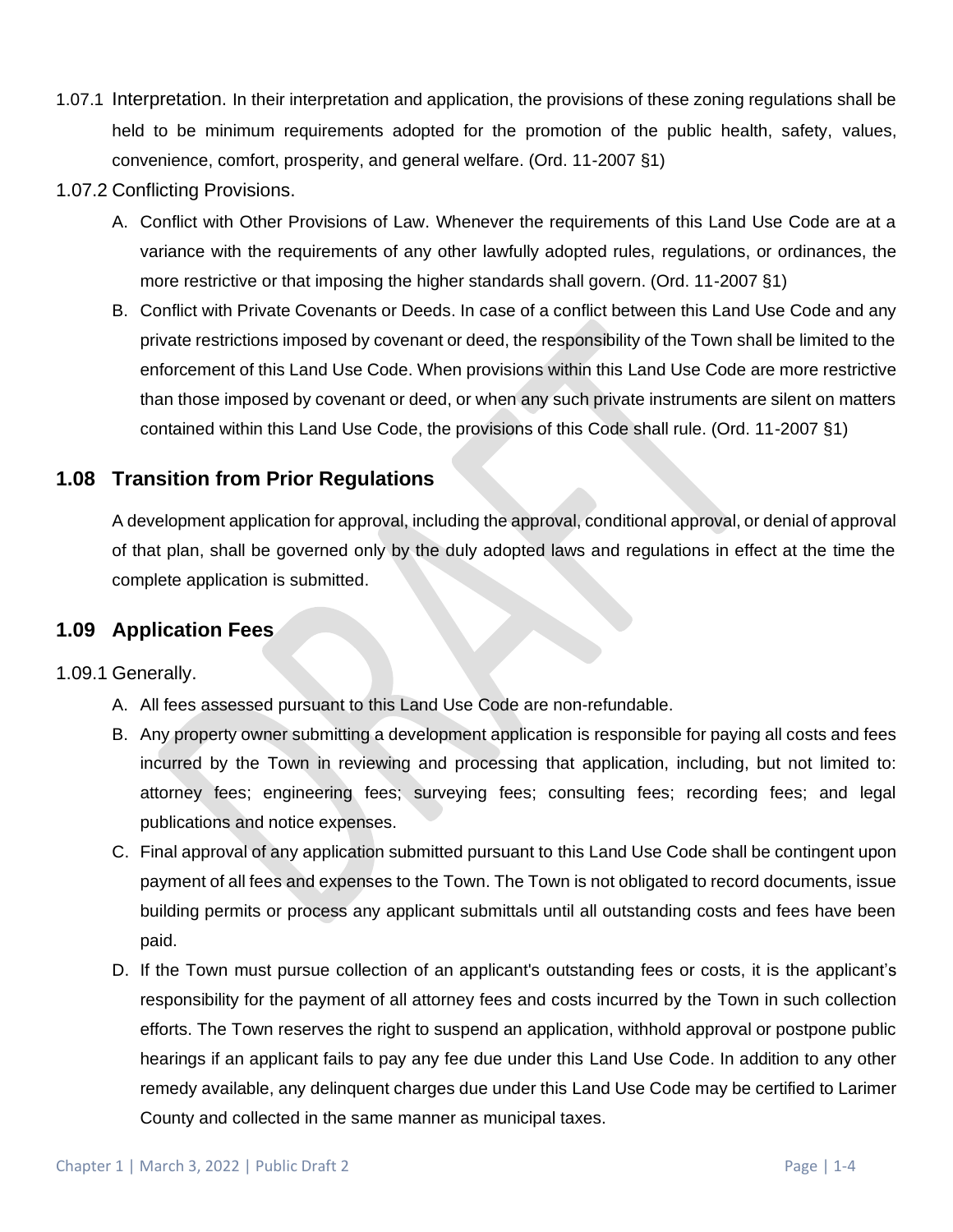- 1.07.1 Interpretation. In their interpretation and application, the provisions of these zoning regulations shall be held to be minimum requirements adopted for the promotion of the public health, safety, values, convenience, comfort, prosperity, and general welfare. (Ord. 11-2007 §1)
- 1.07.2 Conflicting Provisions.
	- A. Conflict with Other Provisions of Law. Whenever the requirements of this Land Use Code are at a variance with the requirements of any other lawfully adopted rules, regulations, or ordinances, the more restrictive or that imposing the higher standards shall govern. (Ord. 11-2007 §1)
	- B. Conflict with Private Covenants or Deeds. In case of a conflict between this Land Use Code and any private restrictions imposed by covenant or deed, the responsibility of the Town shall be limited to the enforcement of this Land Use Code. When provisions within this Land Use Code are more restrictive than those imposed by covenant or deed, or when any such private instruments are silent on matters contained within this Land Use Code, the provisions of this Code shall rule. (Ord. 11-2007 §1)

#### **1.08 Transition from Prior Regulations**

A development application for approval, including the approval, conditional approval, or denial of approval of that plan, shall be governed only by the duly adopted laws and regulations in effect at the time the complete application is submitted.

#### **1.09 Application Fees**

1.09.1 Generally.

- A. All fees assessed pursuant to this Land Use Code are non-refundable.
- B. Any property owner submitting a development application is responsible for paying all costs and fees incurred by the Town in reviewing and processing that application, including, but not limited to: attorney fees; engineering fees; surveying fees; consulting fees; recording fees; and legal publications and notice expenses.
- C. Final approval of any application submitted pursuant to this Land Use Code shall be contingent upon payment of all fees and expenses to the Town. The Town is not obligated to record documents, issue building permits or process any applicant submittals until all outstanding costs and fees have been paid.
- D. If the Town must pursue collection of an applicant's outstanding fees or costs, it is the applicant's responsibility for the payment of all attorney fees and costs incurred by the Town in such collection efforts. The Town reserves the right to suspend an application, withhold approval or postpone public hearings if an applicant fails to pay any fee due under this Land Use Code. In addition to any other remedy available, any delinquent charges due under this Land Use Code may be certified to Larimer County and collected in the same manner as municipal taxes.